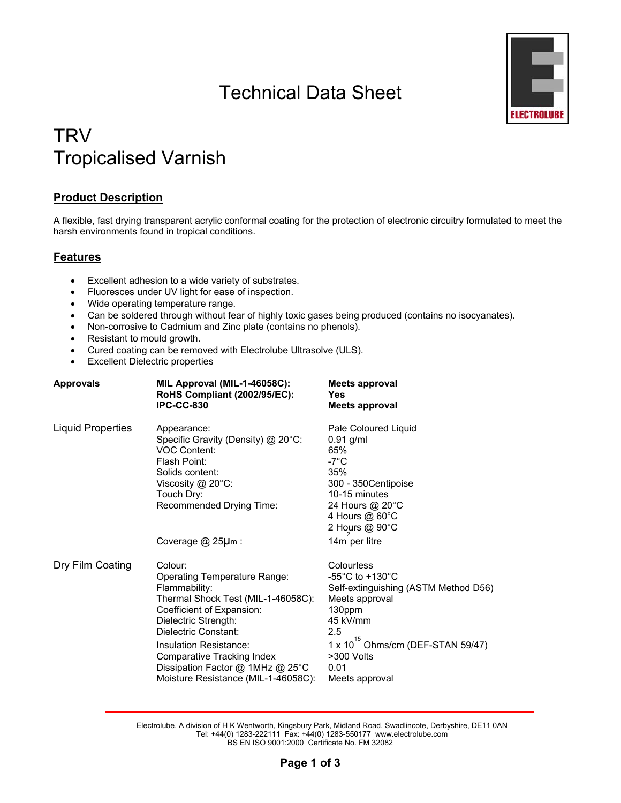# Technical Data Sheet



## **TRV** Tropicalised Varnish

## **Product Description**

A flexible, fast drying transparent acrylic conformal coating for the protection of electronic circuitry formulated to meet the harsh environments found in tropical conditions.

## **Features**

- Excellent adhesion to a wide variety of substrates.
- Fluoresces under UV light for ease of inspection.
- Wide operating temperature range.
- Can be soldered through without fear of highly toxic gases being produced (contains no isocyanates).
- Non-corrosive to Cadmium and Zinc plate (contains no phenols).
- Resistant to mould growth.
- Cured coating can be removed with Electrolube Ultrasolve (ULS).
- Excellent Dielectric properties

| Approvals                | MIL Approval (MIL-1-46058C):<br>RoHS Compliant (2002/95/EC):<br><b>IPC-CC-830</b>                                                                                                                                                                                                                                     | Meets approval<br>Yes<br><b>Meets approval</b>                                                                                                                                                                                     |
|--------------------------|-----------------------------------------------------------------------------------------------------------------------------------------------------------------------------------------------------------------------------------------------------------------------------------------------------------------------|------------------------------------------------------------------------------------------------------------------------------------------------------------------------------------------------------------------------------------|
| <b>Liquid Properties</b> | Appearance:<br>Specific Gravity (Density) @ 20°C:<br><b>VOC Content:</b><br>Flash Point:<br>Solids content:<br>Viscosity @ 20°C:<br>Touch Dry:<br>Recommended Drying Time:                                                                                                                                            | Pale Coloured Liquid<br>$0.91$ g/ml<br>65%<br>$-7^{\circ}$ C<br>35%<br>300 - 350 Centipoise<br>10-15 minutes<br>24 Hours @ 20°C<br>4 Hours @ 60°C<br>2 Hours @ 90°C                                                                |
|                          | Coverage $@$ 25 $\mu$ m :                                                                                                                                                                                                                                                                                             | 14m per litre                                                                                                                                                                                                                      |
| Dry Film Coating         | Colour:<br>Operating Temperature Range:<br>Flammability:<br>Thermal Shock Test (MIL-1-46058C):<br>Coefficient of Expansion:<br>Dielectric Strength:<br>Dielectric Constant:<br>Insulation Resistance:<br><b>Comparative Tracking Index</b><br>Dissipation Factor @ 1MHz @ 25°C<br>Moisture Resistance (MIL-1-46058C): | Colourless<br>-55 $^{\circ}$ C to +130 $^{\circ}$ C<br>Self-extinguishing (ASTM Method D56)<br>Meets approval<br>130ppm<br>45 kV/mm<br>2.5<br>15<br>$1 \times 10$ Ohms/cm (DEF-STAN 59/47)<br>>300 Volts<br>0.01<br>Meets approval |

Electrolube, A division of H K Wentworth, Kingsbury Park, Midland Road, Swadlincote, Derbyshire, DE11 0AN Tel: +44(0) 1283-222111 Fax: +44(0) 1283-550177 www.electrolube.com BS EN ISO 9001:2000 Certificate No. FM 32082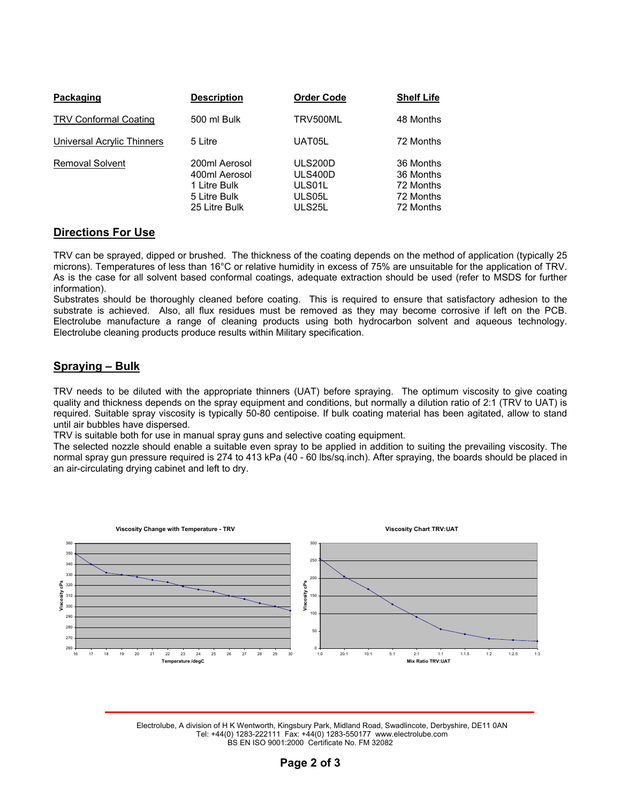| Packaging                    | <b>Description</b>                                                              | <b>Order Code</b>                                       | <b>Shelf Life</b>                                             |
|------------------------------|---------------------------------------------------------------------------------|---------------------------------------------------------|---------------------------------------------------------------|
| <b>TRV Conformal Coating</b> | 500 ml Bulk                                                                     | TRV500ML                                                | 48 Months                                                     |
| Universal Acrylic Thinners   | 5 Litre                                                                         | UAT05L                                                  | 72 Months                                                     |
| <b>Removal Solvent</b>       | 200ml Aerosol<br>400ml Aerosol<br>1 Litre Bulk<br>5 Litre Bulk<br>25 Litre Bulk | <b>ULS200D</b><br>ULS400D<br>ULS01L<br>ULS05L<br>ULS25L | 36 Months<br>36 Months<br>72 Months<br>72 Months<br>72 Months |

#### **Directions For Use**

TRV can be sprayed, dipped or brushed. The thickness of the coating depends on the method of application (typically 25 microns). Temperatures of less than 16°C or relative humidity in excess of 75% are unsuitable for the application of TRV. As is the case for all solvent based conformal coatings, adequate extraction should be used (refer to MSDS for further information).

Substrates should be thoroughly cleaned before coating. This is required to ensure that satisfactory adhesion to the substrate is achieved. Also, all flux residues must be removed as they may become corrosive if left on the PCB. Electrolube manufacture a range of cleaning products using both hydrocarbon solvent and aqueous technology. Electrolube cleaning products produce results within Military specification.

## **Spraying – Bulk**

TRV needs to be diluted with the appropriate thinners (UAT) before spraying. The optimum viscosity to give coating quality and thickness depends on the spray equipment and conditions, but normally a dilution ratio of 2:1 (TRV to UAT) is required. Suitable spray viscosity is typically 50-80 centipoise. If bulk coating material has been agitated, allow to stand until air bubbles have dispersed.

TRV is suitable both for use in manual spray guns and selective coating equipment.

The selected nozzle should enable a suitable even spray to be applied in addition to suiting the prevailing viscosity. The normal spray gun pressure required is 274 to 413 kPa (40 - 60 lbs/sq.inch). After spraying, the boards should be placed in an air-circulating drying cabinet and left to dry.



Electrolube, A division of H K Wentworth, Kingsbury Park, Midland Road, Swadlincote, Derbyshire, DE11 0AN Tel: +44(0) 1283-222111 Fax: +44(0) 1283-550177 www.electrolube.com BS EN ISO 9001:2000 Certificate No. FM 32082